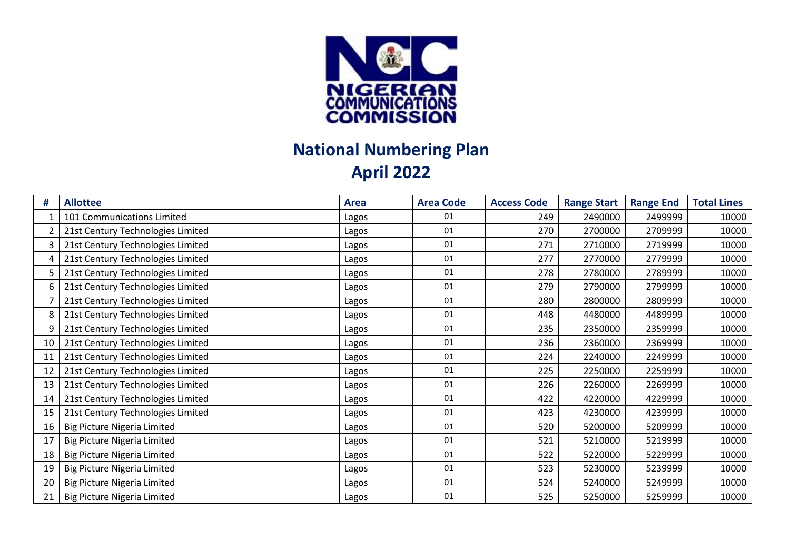

## **National Numbering Plan April 2022**

| #  | <b>Allottee</b>                   | <b>Area</b> | <b>Area Code</b> | <b>Access Code</b> | <b>Range Start</b> | <b>Range End</b> | <b>Total Lines</b> |
|----|-----------------------------------|-------------|------------------|--------------------|--------------------|------------------|--------------------|
|    | 101 Communications Limited        | Lagos       | 01               | 249                | 2490000            | 2499999          | 10000              |
|    | 21st Century Technologies Limited | Lagos       | 01               | 270                | 2700000            | 2709999          | 10000              |
| 3  | 21st Century Technologies Limited | Lagos       | 01               | 271                | 2710000            | 2719999          | 10000              |
| 4  | 21st Century Technologies Limited | Lagos       | 01               | 277                | 2770000            | 2779999          | 10000              |
|    | 21st Century Technologies Limited | Lagos       | 01               | 278                | 2780000            | 2789999          | 10000              |
| 6  | 21st Century Technologies Limited | Lagos       | 01               | 279                | 2790000            | 2799999          | 10000              |
|    | 21st Century Technologies Limited | Lagos       | 01               | 280                | 2800000            | 2809999          | 10000              |
|    | 21st Century Technologies Limited | Lagos       | 01               | 448                | 4480000            | 4489999          | 10000              |
| 9  | 21st Century Technologies Limited | Lagos       | 01               | 235                | 2350000            | 2359999          | 10000              |
| 10 | 21st Century Technologies Limited | Lagos       | 01               | 236                | 2360000            | 2369999          | 10000              |
| 11 | 21st Century Technologies Limited | Lagos       | 01               | 224                | 2240000            | 2249999          | 10000              |
| 12 | 21st Century Technologies Limited | Lagos       | 01               | 225                | 2250000            | 2259999          | 10000              |
| 13 | 21st Century Technologies Limited | Lagos       | 01               | 226                | 2260000            | 2269999          | 10000              |
| 14 | 21st Century Technologies Limited | Lagos       | 01               | 422                | 4220000            | 4229999          | 10000              |
| 15 | 21st Century Technologies Limited | Lagos       | 01               | 423                | 4230000            | 4239999          | 10000              |
| 16 | Big Picture Nigeria Limited       | Lagos       | 01               | 520                | 5200000            | 5209999          | 10000              |
| 17 | Big Picture Nigeria Limited       | Lagos       | 01               | 521                | 5210000            | 5219999          | 10000              |
| 18 | Big Picture Nigeria Limited       | Lagos       | 01               | 522                | 5220000            | 5229999          | 10000              |
| 19 | Big Picture Nigeria Limited       | Lagos       | 01               | 523                | 5230000            | 5239999          | 10000              |
| 20 | Big Picture Nigeria Limited       | Lagos       | 01               | 524                | 5240000            | 5249999          | 10000              |
| 21 | Big Picture Nigeria Limited       | Lagos       | 01               | 525                | 5250000            | 5259999          | 10000              |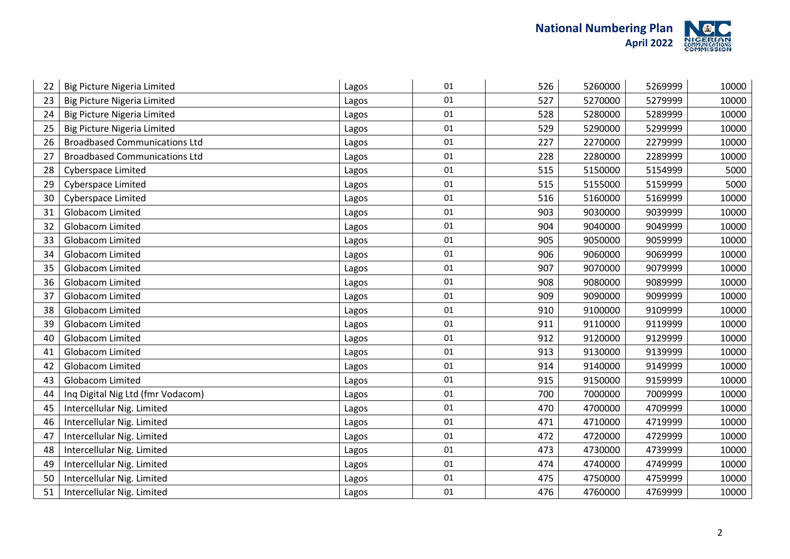

| 22 | <b>Big Picture Nigeria Limited</b>   | Lagos | 01     | 526 | 5260000 | 5269999 | 10000 |
|----|--------------------------------------|-------|--------|-----|---------|---------|-------|
| 23 | <b>Big Picture Nigeria Limited</b>   | Lagos | 01     | 527 | 5270000 | 5279999 | 10000 |
| 24 | <b>Big Picture Nigeria Limited</b>   | Lagos | 01     | 528 | 5280000 | 5289999 | 10000 |
| 25 | <b>Big Picture Nigeria Limited</b>   | Lagos | 01     | 529 | 5290000 | 5299999 | 10000 |
| 26 | <b>Broadbased Communications Ltd</b> | Lagos | $01\,$ | 227 | 2270000 | 2279999 | 10000 |
| 27 | <b>Broadbased Communications Ltd</b> | Lagos | 01     | 228 | 2280000 | 2289999 | 10000 |
| 28 | <b>Cyberspace Limited</b>            | Lagos | 01     | 515 | 5150000 | 5154999 | 5000  |
| 29 | Cyberspace Limited                   | Lagos | 01     | 515 | 5155000 | 5159999 | 5000  |
| 30 | Cyberspace Limited                   | Lagos | 01     | 516 | 5160000 | 5169999 | 10000 |
| 31 | Globacom Limited                     | Lagos | 01     | 903 | 9030000 | 9039999 | 10000 |
| 32 | Globacom Limited                     | Lagos | 01     | 904 | 9040000 | 9049999 | 10000 |
| 33 | <b>Globacom Limited</b>              | Lagos | 01     | 905 | 9050000 | 9059999 | 10000 |
| 34 | Globacom Limited                     | Lagos | 01     | 906 | 9060000 | 9069999 | 10000 |
| 35 | Globacom Limited                     | Lagos | 01     | 907 | 9070000 | 9079999 | 10000 |
| 36 | <b>Globacom Limited</b>              | Lagos | 01     | 908 | 9080000 | 9089999 | 10000 |
| 37 | <b>Globacom Limited</b>              | Lagos | 01     | 909 | 9090000 | 9099999 | 10000 |
| 38 | <b>Globacom Limited</b>              | Lagos | 01     | 910 | 9100000 | 9109999 | 10000 |
| 39 | Globacom Limited                     | Lagos | 01     | 911 | 9110000 | 9119999 | 10000 |
| 40 | <b>Globacom Limited</b>              | Lagos | 01     | 912 | 9120000 | 9129999 | 10000 |
| 41 | <b>Globacom Limited</b>              | Lagos | 01     | 913 | 9130000 | 9139999 | 10000 |
| 42 | Globacom Limited                     | Lagos | 01     | 914 | 9140000 | 9149999 | 10000 |
| 43 | <b>Globacom Limited</b>              | Lagos | 01     | 915 | 9150000 | 9159999 | 10000 |
| 44 | Inq Digital Nig Ltd (fmr Vodacom)    | Lagos | 01     | 700 | 7000000 | 7009999 | 10000 |
| 45 | Intercellular Nig. Limited           | Lagos | 01     | 470 | 4700000 | 4709999 | 10000 |
| 46 | Intercellular Nig. Limited           | Lagos | 01     | 471 | 4710000 | 4719999 | 10000 |
| 47 | Intercellular Nig. Limited           | Lagos | 01     | 472 | 4720000 | 4729999 | 10000 |
| 48 | Intercellular Nig. Limited           | Lagos | 01     | 473 | 4730000 | 4739999 | 10000 |
| 49 | Intercellular Nig. Limited           | Lagos | 01     | 474 | 4740000 | 4749999 | 10000 |
| 50 | Intercellular Nig. Limited           | Lagos | 01     | 475 | 4750000 | 4759999 | 10000 |
| 51 | Intercellular Nig. Limited           | Lagos | 01     | 476 | 4760000 | 4769999 | 10000 |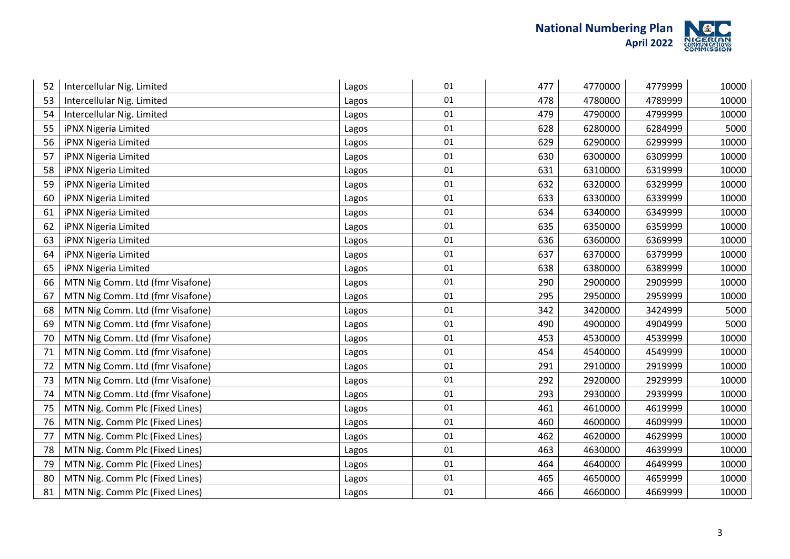

| Intercellular Nig. Limited       | Lagos | 01 | 477 | 4770000 | 4779999 | 10000 |
|----------------------------------|-------|----|-----|---------|---------|-------|
| Intercellular Nig. Limited       | Lagos | 01 | 478 | 4780000 | 4789999 | 10000 |
| Intercellular Nig. Limited       | Lagos | 01 | 479 | 4790000 | 4799999 | 10000 |
| iPNX Nigeria Limited             | Lagos | 01 | 628 | 6280000 | 6284999 | 5000  |
| iPNX Nigeria Limited             | Lagos | 01 | 629 | 6290000 | 6299999 | 10000 |
| iPNX Nigeria Limited             | Lagos | 01 | 630 | 6300000 | 6309999 | 10000 |
| iPNX Nigeria Limited             | Lagos | 01 | 631 | 6310000 | 6319999 | 10000 |
| iPNX Nigeria Limited             | Lagos | 01 | 632 | 6320000 | 6329999 | 10000 |
| iPNX Nigeria Limited             | Lagos | 01 | 633 | 6330000 | 6339999 | 10000 |
| iPNX Nigeria Limited             | Lagos | 01 | 634 | 6340000 | 6349999 | 10000 |
| iPNX Nigeria Limited             | Lagos | 01 | 635 | 6350000 | 6359999 | 10000 |
| iPNX Nigeria Limited             | Lagos | 01 | 636 | 6360000 | 6369999 | 10000 |
| iPNX Nigeria Limited             | Lagos | 01 | 637 | 6370000 | 6379999 | 10000 |
| iPNX Nigeria Limited             | Lagos | 01 | 638 | 6380000 | 6389999 | 10000 |
| MTN Nig Comm. Ltd (fmr Visafone) | Lagos | 01 | 290 | 2900000 | 2909999 | 10000 |
| MTN Nig Comm. Ltd (fmr Visafone) | Lagos | 01 | 295 | 2950000 | 2959999 | 10000 |
| MTN Nig Comm. Ltd (fmr Visafone) | Lagos | 01 | 342 | 3420000 | 3424999 | 5000  |
| MTN Nig Comm. Ltd (fmr Visafone) | Lagos | 01 | 490 | 4900000 | 4904999 | 5000  |
| MTN Nig Comm. Ltd (fmr Visafone) | Lagos | 01 | 453 | 4530000 | 4539999 | 10000 |
| MTN Nig Comm. Ltd (fmr Visafone) | Lagos | 01 | 454 | 4540000 | 4549999 | 10000 |
| MTN Nig Comm. Ltd (fmr Visafone) | Lagos | 01 | 291 | 2910000 | 2919999 | 10000 |
| MTN Nig Comm. Ltd (fmr Visafone) | Lagos | 01 | 292 | 2920000 | 2929999 | 10000 |
| MTN Nig Comm. Ltd (fmr Visafone) | Lagos | 01 | 293 | 2930000 | 2939999 | 10000 |
| MTN Nig. Comm Plc (Fixed Lines)  | Lagos | 01 | 461 | 4610000 | 4619999 | 10000 |
| MTN Nig. Comm Plc (Fixed Lines)  | Lagos | 01 | 460 | 4600000 | 4609999 | 10000 |
| MTN Nig. Comm Plc (Fixed Lines)  | Lagos | 01 | 462 | 4620000 | 4629999 | 10000 |
| MTN Nig. Comm Plc (Fixed Lines)  | Lagos | 01 | 463 | 4630000 | 4639999 | 10000 |
| MTN Nig. Comm Plc (Fixed Lines)  | Lagos | 01 | 464 | 4640000 | 4649999 | 10000 |
| MTN Nig. Comm Plc (Fixed Lines)  | Lagos | 01 | 465 | 4650000 | 4659999 | 10000 |
| MTN Nig. Comm Plc (Fixed Lines)  | Lagos | 01 | 466 | 4660000 | 4669999 | 10000 |
|                                  |       |    |     |         |         |       |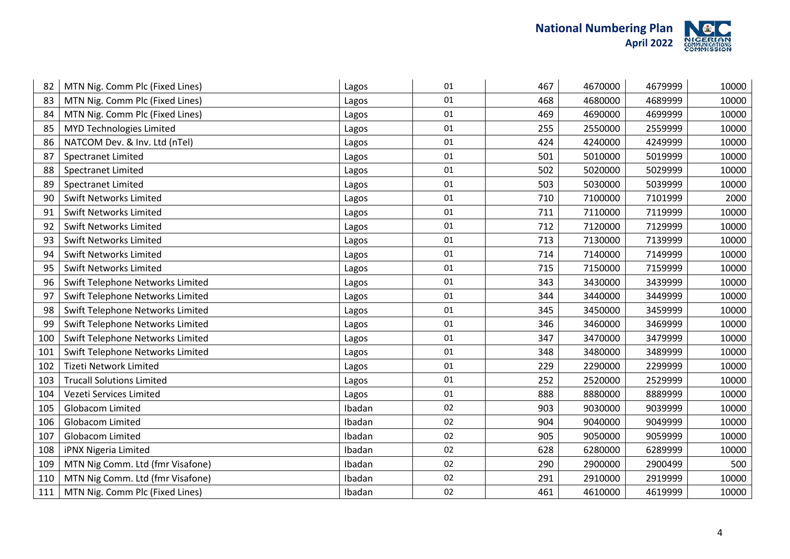

| 82  | MTN Nig. Comm Plc (Fixed Lines)  | Lagos  | 01 | 467 | 4670000 | 4679999 | 10000 |
|-----|----------------------------------|--------|----|-----|---------|---------|-------|
| 83  | MTN Nig. Comm Plc (Fixed Lines)  | Lagos  | 01 | 468 | 4680000 | 4689999 | 10000 |
| 84  | MTN Nig. Comm Plc (Fixed Lines)  | Lagos  | 01 | 469 | 4690000 | 4699999 | 10000 |
| 85  | MYD Technologies Limited         | Lagos  | 01 | 255 | 2550000 | 2559999 | 10000 |
| 86  | NATCOM Dev. & Inv. Ltd (nTel)    | Lagos  | 01 | 424 | 4240000 | 4249999 | 10000 |
| 87  | <b>Spectranet Limited</b>        | Lagos  | 01 | 501 | 5010000 | 5019999 | 10000 |
| 88  | <b>Spectranet Limited</b>        | Lagos  | 01 | 502 | 5020000 | 5029999 | 10000 |
| 89  | <b>Spectranet Limited</b>        | Lagos  | 01 | 503 | 5030000 | 5039999 | 10000 |
| 90  | <b>Swift Networks Limited</b>    | Lagos  | 01 | 710 | 7100000 | 7101999 | 2000  |
| 91  | <b>Swift Networks Limited</b>    | Lagos  | 01 | 711 | 7110000 | 7119999 | 10000 |
| 92  | <b>Swift Networks Limited</b>    | Lagos  | 01 | 712 | 7120000 | 7129999 | 10000 |
| 93  | <b>Swift Networks Limited</b>    | Lagos  | 01 | 713 | 7130000 | 7139999 | 10000 |
| 94  | <b>Swift Networks Limited</b>    | Lagos  | 01 | 714 | 7140000 | 7149999 | 10000 |
| 95  | <b>Swift Networks Limited</b>    | Lagos  | 01 | 715 | 7150000 | 7159999 | 10000 |
| 96  | Swift Telephone Networks Limited | Lagos  | 01 | 343 | 3430000 | 3439999 | 10000 |
| 97  | Swift Telephone Networks Limited | Lagos  | 01 | 344 | 3440000 | 3449999 | 10000 |
| 98  | Swift Telephone Networks Limited | Lagos  | 01 | 345 | 3450000 | 3459999 | 10000 |
| 99  | Swift Telephone Networks Limited | Lagos  | 01 | 346 | 3460000 | 3469999 | 10000 |
| 100 | Swift Telephone Networks Limited | Lagos  | 01 | 347 | 3470000 | 3479999 | 10000 |
| 101 | Swift Telephone Networks Limited | Lagos  | 01 | 348 | 3480000 | 3489999 | 10000 |
| 102 | <b>Tizeti Network Limited</b>    | Lagos  | 01 | 229 | 2290000 | 2299999 | 10000 |
| 103 | <b>Trucall Solutions Limited</b> | Lagos  | 01 | 252 | 2520000 | 2529999 | 10000 |
| 104 | Vezeti Services Limited          | Lagos  | 01 | 888 | 8880000 | 8889999 | 10000 |
| 105 | Globacom Limited                 | Ibadan | 02 | 903 | 9030000 | 9039999 | 10000 |
| 106 | <b>Globacom Limited</b>          | Ibadan | 02 | 904 | 9040000 | 9049999 | 10000 |
| 107 | <b>Globacom Limited</b>          | Ibadan | 02 | 905 | 9050000 | 9059999 | 10000 |
| 108 | iPNX Nigeria Limited             | Ibadan | 02 | 628 | 6280000 | 6289999 | 10000 |
| 109 | MTN Nig Comm. Ltd (fmr Visafone) | Ibadan | 02 | 290 | 2900000 | 2900499 | 500   |
| 110 | MTN Nig Comm. Ltd (fmr Visafone) | Ibadan | 02 | 291 | 2910000 | 2919999 | 10000 |
| 111 | MTN Nig. Comm Plc (Fixed Lines)  | Ibadan | 02 | 461 | 4610000 | 4619999 | 10000 |
|     |                                  |        |    |     |         |         |       |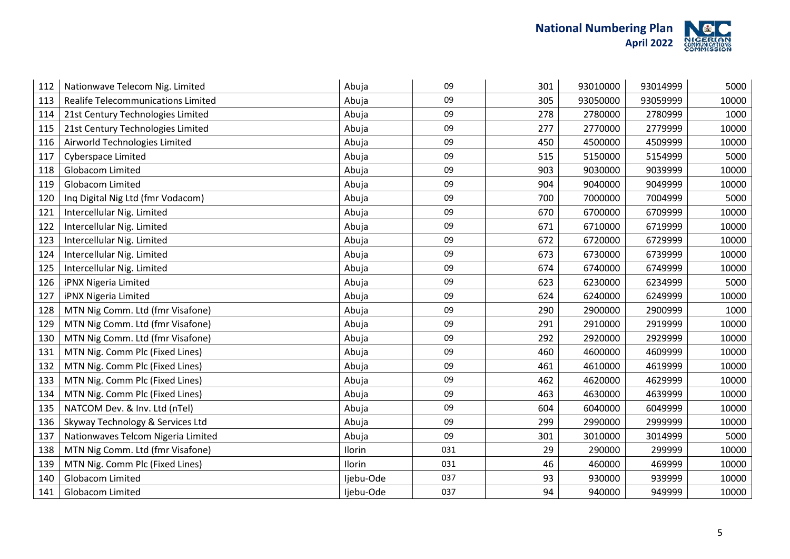

| 112 | Nationwave Telecom Nig. Limited    | Abuja     | 09  | 301 | 93010000 | 93014999 | 5000  |
|-----|------------------------------------|-----------|-----|-----|----------|----------|-------|
| 113 | Realife Telecommunications Limited | Abuja     | 09  | 305 | 93050000 | 93059999 | 10000 |
| 114 | 21st Century Technologies Limited  | Abuja     | 09  | 278 | 2780000  | 2780999  | 1000  |
| 115 | 21st Century Technologies Limited  | Abuja     | 09  | 277 | 2770000  | 2779999  | 10000 |
| 116 | Airworld Technologies Limited      | Abuja     | 09  | 450 | 4500000  | 4509999  | 10000 |
| 117 | <b>Cyberspace Limited</b>          | Abuja     | 09  | 515 | 5150000  | 5154999  | 5000  |
| 118 | <b>Globacom Limited</b>            | Abuja     | 09  | 903 | 9030000  | 9039999  | 10000 |
| 119 | <b>Globacom Limited</b>            | Abuja     | 09  | 904 | 9040000  | 9049999  | 10000 |
| 120 | Inq Digital Nig Ltd (fmr Vodacom)  | Abuja     | 09  | 700 | 7000000  | 7004999  | 5000  |
| 121 | Intercellular Nig. Limited         | Abuja     | 09  | 670 | 6700000  | 6709999  | 10000 |
| 122 | Intercellular Nig. Limited         | Abuja     | 09  | 671 | 6710000  | 6719999  | 10000 |
| 123 | Intercellular Nig. Limited         | Abuja     | 09  | 672 | 6720000  | 6729999  | 10000 |
| 124 | Intercellular Nig. Limited         | Abuja     | 09  | 673 | 6730000  | 6739999  | 10000 |
| 125 | Intercellular Nig. Limited         | Abuja     | 09  | 674 | 6740000  | 6749999  | 10000 |
| 126 | iPNX Nigeria Limited               | Abuja     | 09  | 623 | 6230000  | 6234999  | 5000  |
| 127 | iPNX Nigeria Limited               | Abuja     | 09  | 624 | 6240000  | 6249999  | 10000 |
| 128 | MTN Nig Comm. Ltd (fmr Visafone)   | Abuja     | 09  | 290 | 2900000  | 2900999  | 1000  |
| 129 | MTN Nig Comm. Ltd (fmr Visafone)   | Abuja     | 09  | 291 | 2910000  | 2919999  | 10000 |
| 130 | MTN Nig Comm. Ltd (fmr Visafone)   | Abuja     | 09  | 292 | 2920000  | 2929999  | 10000 |
| 131 | MTN Nig. Comm Plc (Fixed Lines)    | Abuja     | 09  | 460 | 4600000  | 4609999  | 10000 |
| 132 | MTN Nig. Comm Plc (Fixed Lines)    | Abuja     | 09  | 461 | 4610000  | 4619999  | 10000 |
| 133 | MTN Nig. Comm Plc (Fixed Lines)    | Abuja     | 09  | 462 | 4620000  | 4629999  | 10000 |
| 134 | MTN Nig. Comm Plc (Fixed Lines)    | Abuja     | 09  | 463 | 4630000  | 4639999  | 10000 |
| 135 | NATCOM Dev. & Inv. Ltd (nTel)      | Abuja     | 09  | 604 | 6040000  | 6049999  | 10000 |
| 136 | Skyway Technology & Services Ltd   | Abuja     | 09  | 299 | 2990000  | 2999999  | 10000 |
| 137 | Nationwaves Telcom Nigeria Limited | Abuja     | 09  | 301 | 3010000  | 3014999  | 5000  |
| 138 | MTN Nig Comm. Ltd (fmr Visafone)   | Ilorin    | 031 | 29  | 290000   | 299999   | 10000 |
| 139 | MTN Nig. Comm Plc (Fixed Lines)    | Ilorin    | 031 | 46  | 460000   | 469999   | 10000 |
| 140 | <b>Globacom Limited</b>            | Ijebu-Ode | 037 | 93  | 930000   | 939999   | 10000 |
| 141 | Globacom Limited                   | Ijebu-Ode | 037 | 94  | 940000   | 949999   | 10000 |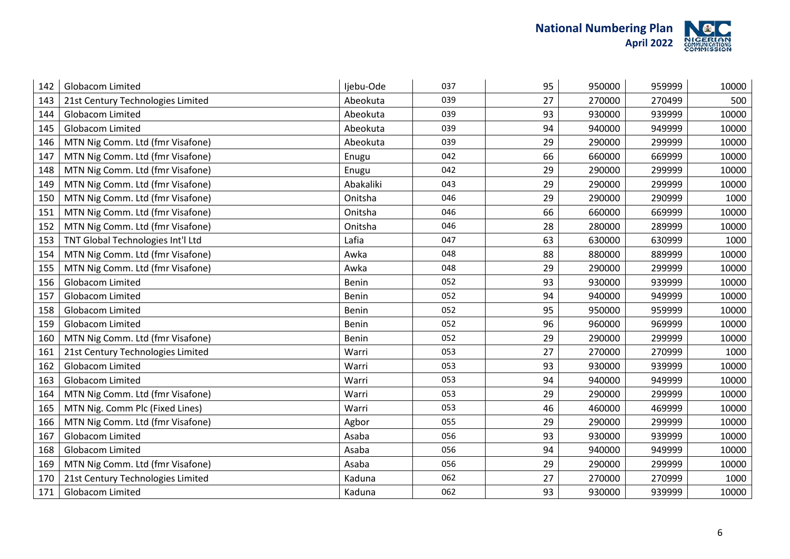

| 142 | <b>Globacom Limited</b>           | Ijebu-Ode    | 037 | 95 | 950000 | 959999 | 10000 |
|-----|-----------------------------------|--------------|-----|----|--------|--------|-------|
| 143 | 21st Century Technologies Limited | Abeokuta     | 039 | 27 | 270000 | 270499 | 500   |
| 144 | Globacom Limited                  | Abeokuta     | 039 | 93 | 930000 | 939999 | 10000 |
| 145 | Globacom Limited                  | Abeokuta     | 039 | 94 | 940000 | 949999 | 10000 |
| 146 | MTN Nig Comm. Ltd (fmr Visafone)  | Abeokuta     | 039 | 29 | 290000 | 299999 | 10000 |
| 147 | MTN Nig Comm. Ltd (fmr Visafone)  | Enugu        | 042 | 66 | 660000 | 669999 | 10000 |
| 148 | MTN Nig Comm. Ltd (fmr Visafone)  | Enugu        | 042 | 29 | 290000 | 299999 | 10000 |
| 149 | MTN Nig Comm. Ltd (fmr Visafone)  | Abakaliki    | 043 | 29 | 290000 | 299999 | 10000 |
| 150 | MTN Nig Comm. Ltd (fmr Visafone)  | Onitsha      | 046 | 29 | 290000 | 290999 | 1000  |
| 151 | MTN Nig Comm. Ltd (fmr Visafone)  | Onitsha      | 046 | 66 | 660000 | 669999 | 10000 |
| 152 | MTN Nig Comm. Ltd (fmr Visafone)  | Onitsha      | 046 | 28 | 280000 | 289999 | 10000 |
| 153 | TNT Global Technologies Int'l Ltd | Lafia        | 047 | 63 | 630000 | 630999 | 1000  |
| 154 | MTN Nig Comm. Ltd (fmr Visafone)  | Awka         | 048 | 88 | 880000 | 889999 | 10000 |
| 155 | MTN Nig Comm. Ltd (fmr Visafone)  | Awka         | 048 | 29 | 290000 | 299999 | 10000 |
| 156 | <b>Globacom Limited</b>           | Benin        | 052 | 93 | 930000 | 939999 | 10000 |
| 157 | <b>Globacom Limited</b>           | <b>Benin</b> | 052 | 94 | 940000 | 949999 | 10000 |
| 158 | Globacom Limited                  | Benin        | 052 | 95 | 950000 | 959999 | 10000 |
| 159 | <b>Globacom Limited</b>           | Benin        | 052 | 96 | 960000 | 969999 | 10000 |
| 160 | MTN Nig Comm. Ltd (fmr Visafone)  | <b>Benin</b> | 052 | 29 | 290000 | 299999 | 10000 |
| 161 | 21st Century Technologies Limited | Warri        | 053 | 27 | 270000 | 270999 | 1000  |
| 162 | Globacom Limited                  | Warri        | 053 | 93 | 930000 | 939999 | 10000 |
| 163 | Globacom Limited                  | Warri        | 053 | 94 | 940000 | 949999 | 10000 |
| 164 | MTN Nig Comm. Ltd (fmr Visafone)  | Warri        | 053 | 29 | 290000 | 299999 | 10000 |
| 165 | MTN Nig. Comm Plc (Fixed Lines)   | Warri        | 053 | 46 | 460000 | 469999 | 10000 |
| 166 | MTN Nig Comm. Ltd (fmr Visafone)  | Agbor        | 055 | 29 | 290000 | 299999 | 10000 |
| 167 | Globacom Limited                  | Asaba        | 056 | 93 | 930000 | 939999 | 10000 |
| 168 | Globacom Limited                  | Asaba        | 056 | 94 | 940000 | 949999 | 10000 |
| 169 | MTN Nig Comm. Ltd (fmr Visafone)  | Asaba        | 056 | 29 | 290000 | 299999 | 10000 |
| 170 | 21st Century Technologies Limited | Kaduna       | 062 | 27 | 270000 | 270999 | 1000  |
| 171 | Globacom Limited                  | Kaduna       | 062 | 93 | 930000 | 939999 | 10000 |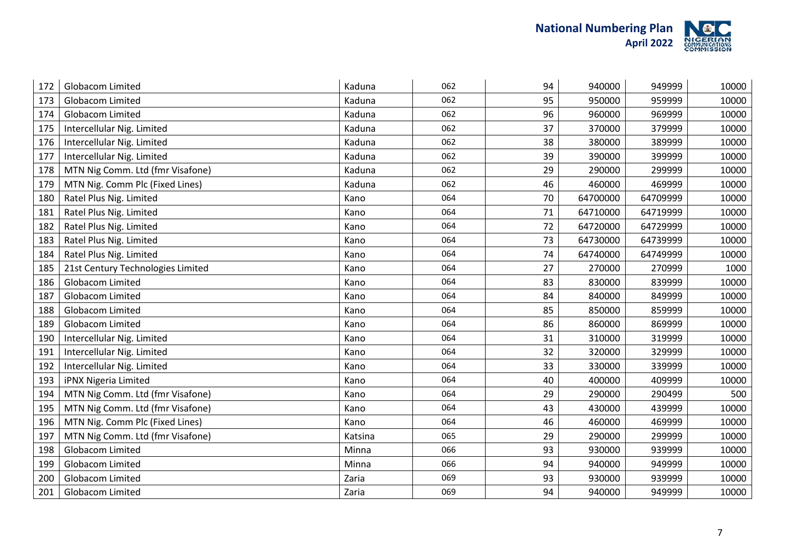

| 172 | Globacom Limited                  | Kaduna  | 062 | 94 | 940000   | 949999   | 10000 |
|-----|-----------------------------------|---------|-----|----|----------|----------|-------|
| 173 | Globacom Limited                  | Kaduna  | 062 | 95 | 950000   | 959999   | 10000 |
| 174 | <b>Globacom Limited</b>           | Kaduna  | 062 | 96 | 960000   | 969999   | 10000 |
| 175 | Intercellular Nig. Limited        | Kaduna  | 062 | 37 | 370000   | 379999   | 10000 |
| 176 | Intercellular Nig. Limited        | Kaduna  | 062 | 38 | 380000   | 389999   | 10000 |
| 177 | Intercellular Nig. Limited        | Kaduna  | 062 | 39 | 390000   | 399999   | 10000 |
| 178 | MTN Nig Comm. Ltd (fmr Visafone)  | Kaduna  | 062 | 29 | 290000   | 299999   | 10000 |
| 179 | MTN Nig. Comm Plc (Fixed Lines)   | Kaduna  | 062 | 46 | 460000   | 469999   | 10000 |
| 180 | Ratel Plus Nig. Limited           | Kano    | 064 | 70 | 64700000 | 64709999 | 10000 |
| 181 | Ratel Plus Nig. Limited           | Kano    | 064 | 71 | 64710000 | 64719999 | 10000 |
| 182 | Ratel Plus Nig. Limited           | Kano    | 064 | 72 | 64720000 | 64729999 | 10000 |
| 183 | Ratel Plus Nig. Limited           | Kano    | 064 | 73 | 64730000 | 64739999 | 10000 |
| 184 | Ratel Plus Nig. Limited           | Kano    | 064 | 74 | 64740000 | 64749999 | 10000 |
| 185 | 21st Century Technologies Limited | Kano    | 064 | 27 | 270000   | 270999   | 1000  |
| 186 | <b>Globacom Limited</b>           | Kano    | 064 | 83 | 830000   | 839999   | 10000 |
| 187 | Globacom Limited                  | Kano    | 064 | 84 | 840000   | 849999   | 10000 |
| 188 | Globacom Limited                  | Kano    | 064 | 85 | 850000   | 859999   | 10000 |
| 189 | Globacom Limited                  | Kano    | 064 | 86 | 860000   | 869999   | 10000 |
| 190 | Intercellular Nig. Limited        | Kano    | 064 | 31 | 310000   | 319999   | 10000 |
| 191 | Intercellular Nig. Limited        | Kano    | 064 | 32 | 320000   | 329999   | 10000 |
| 192 | Intercellular Nig. Limited        | Kano    | 064 | 33 | 330000   | 339999   | 10000 |
| 193 | iPNX Nigeria Limited              | Kano    | 064 | 40 | 400000   | 409999   | 10000 |
| 194 | MTN Nig Comm. Ltd (fmr Visafone)  | Kano    | 064 | 29 | 290000   | 290499   | 500   |
| 195 | MTN Nig Comm. Ltd (fmr Visafone)  | Kano    | 064 | 43 | 430000   | 439999   | 10000 |
| 196 | MTN Nig. Comm Plc (Fixed Lines)   | Kano    | 064 | 46 | 460000   | 469999   | 10000 |
| 197 | MTN Nig Comm. Ltd (fmr Visafone)  | Katsina | 065 | 29 | 290000   | 299999   | 10000 |
| 198 | Globacom Limited                  | Minna   | 066 | 93 | 930000   | 939999   | 10000 |
| 199 | Globacom Limited                  | Minna   | 066 | 94 | 940000   | 949999   | 10000 |
| 200 | Globacom Limited                  | Zaria   | 069 | 93 | 930000   | 939999   | 10000 |
| 201 | <b>Globacom Limited</b>           | Zaria   | 069 | 94 | 940000   | 949999   | 10000 |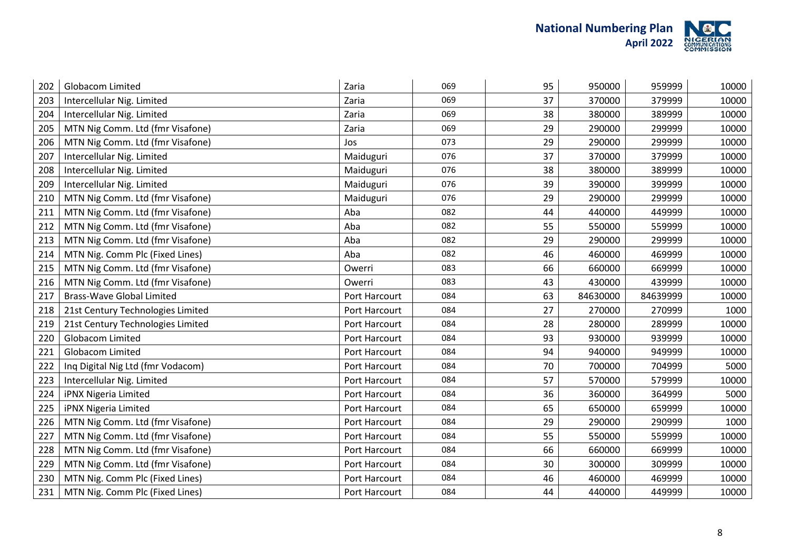

| 202 | <b>Globacom Limited</b>           | Zaria         | 069 | 95 | 950000   | 959999   | 10000 |
|-----|-----------------------------------|---------------|-----|----|----------|----------|-------|
| 203 | Intercellular Nig. Limited        | Zaria         | 069 | 37 | 370000   | 379999   | 10000 |
| 204 | Intercellular Nig. Limited        | Zaria         | 069 | 38 | 380000   | 389999   | 10000 |
| 205 | MTN Nig Comm. Ltd (fmr Visafone)  | Zaria         | 069 | 29 | 290000   | 299999   | 10000 |
| 206 | MTN Nig Comm. Ltd (fmr Visafone)  | Jos           | 073 | 29 | 290000   | 299999   | 10000 |
| 207 | Intercellular Nig. Limited        | Maiduguri     | 076 | 37 | 370000   | 379999   | 10000 |
| 208 | Intercellular Nig. Limited        | Maiduguri     | 076 | 38 | 380000   | 389999   | 10000 |
| 209 | Intercellular Nig. Limited        | Maiduguri     | 076 | 39 | 390000   | 399999   | 10000 |
| 210 | MTN Nig Comm. Ltd (fmr Visafone)  | Maiduguri     | 076 | 29 | 290000   | 299999   | 10000 |
| 211 | MTN Nig Comm. Ltd (fmr Visafone)  | Aba           | 082 | 44 | 440000   | 449999   | 10000 |
| 212 | MTN Nig Comm. Ltd (fmr Visafone)  | Aba           | 082 | 55 | 550000   | 559999   | 10000 |
| 213 | MTN Nig Comm. Ltd (fmr Visafone)  | Aba           | 082 | 29 | 290000   | 299999   | 10000 |
| 214 | MTN Nig. Comm Plc (Fixed Lines)   | Aba           | 082 | 46 | 460000   | 469999   | 10000 |
| 215 | MTN Nig Comm. Ltd (fmr Visafone)  | Owerri        | 083 | 66 | 660000   | 669999   | 10000 |
| 216 | MTN Nig Comm. Ltd (fmr Visafone)  | Owerri        | 083 | 43 | 430000   | 439999   | 10000 |
| 217 | <b>Brass-Wave Global Limited</b>  | Port Harcourt | 084 | 63 | 84630000 | 84639999 | 10000 |
| 218 | 21st Century Technologies Limited | Port Harcourt | 084 | 27 | 270000   | 270999   | 1000  |
| 219 | 21st Century Technologies Limited | Port Harcourt | 084 | 28 | 280000   | 289999   | 10000 |
| 220 | Globacom Limited                  | Port Harcourt | 084 | 93 | 930000   | 939999   | 10000 |
| 221 | Globacom Limited                  | Port Harcourt | 084 | 94 | 940000   | 949999   | 10000 |
| 222 | Inq Digital Nig Ltd (fmr Vodacom) | Port Harcourt | 084 | 70 | 700000   | 704999   | 5000  |
| 223 | Intercellular Nig. Limited        | Port Harcourt | 084 | 57 | 570000   | 579999   | 10000 |
| 224 | iPNX Nigeria Limited              | Port Harcourt | 084 | 36 | 360000   | 364999   | 5000  |
| 225 | iPNX Nigeria Limited              | Port Harcourt | 084 | 65 | 650000   | 659999   | 10000 |
| 226 | MTN Nig Comm. Ltd (fmr Visafone)  | Port Harcourt | 084 | 29 | 290000   | 290999   | 1000  |
| 227 | MTN Nig Comm. Ltd (fmr Visafone)  | Port Harcourt | 084 | 55 | 550000   | 559999   | 10000 |
| 228 | MTN Nig Comm. Ltd (fmr Visafone)  | Port Harcourt | 084 | 66 | 660000   | 669999   | 10000 |
| 229 | MTN Nig Comm. Ltd (fmr Visafone)  | Port Harcourt | 084 | 30 | 300000   | 309999   | 10000 |
| 230 | MTN Nig. Comm Plc (Fixed Lines)   | Port Harcourt | 084 | 46 | 460000   | 469999   | 10000 |
| 231 | MTN Nig. Comm Plc (Fixed Lines)   | Port Harcourt | 084 | 44 | 440000   | 449999   | 10000 |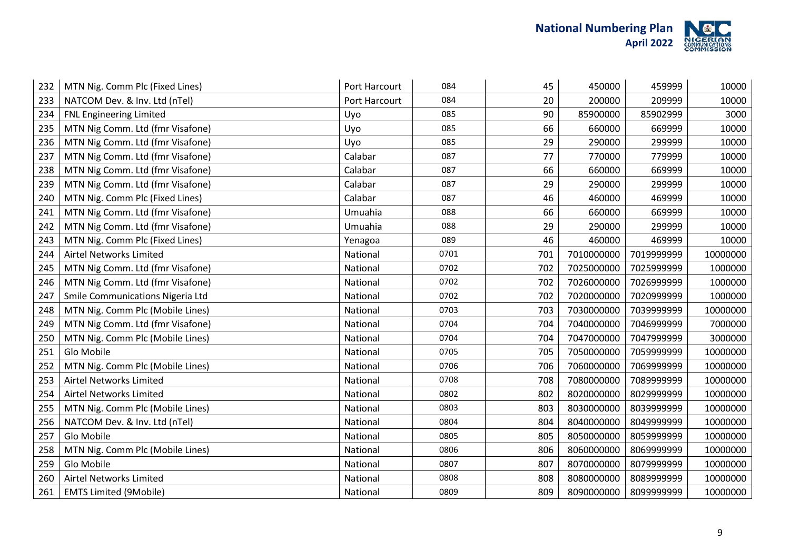

| 232 | MTN Nig. Comm Plc (Fixed Lines)  | Port Harcourt | 084  | 45  | 450000     | 459999     | 10000    |
|-----|----------------------------------|---------------|------|-----|------------|------------|----------|
| 233 | NATCOM Dev. & Inv. Ltd (nTel)    | Port Harcourt | 084  | 20  | 200000     | 209999     | 10000    |
| 234 | <b>FNL Engineering Limited</b>   | Uyo           | 085  | 90  | 85900000   | 85902999   | 3000     |
| 235 | MTN Nig Comm. Ltd (fmr Visafone) | Uyo           | 085  | 66  | 660000     | 669999     | 10000    |
| 236 | MTN Nig Comm. Ltd (fmr Visafone) | Uyo           | 085  | 29  | 290000     | 299999     | 10000    |
| 237 | MTN Nig Comm. Ltd (fmr Visafone) | Calabar       | 087  | 77  | 770000     | 779999     | 10000    |
| 238 | MTN Nig Comm. Ltd (fmr Visafone) | Calabar       | 087  | 66  | 660000     | 669999     | 10000    |
| 239 | MTN Nig Comm. Ltd (fmr Visafone) | Calabar       | 087  | 29  | 290000     | 299999     | 10000    |
| 240 | MTN Nig. Comm Plc (Fixed Lines)  | Calabar       | 087  | 46  | 460000     | 469999     | 10000    |
| 241 | MTN Nig Comm. Ltd (fmr Visafone) | Umuahia       | 088  | 66  | 660000     | 669999     | 10000    |
| 242 | MTN Nig Comm. Ltd (fmr Visafone) | Umuahia       | 088  | 29  | 290000     | 299999     | 10000    |
| 243 | MTN Nig. Comm Plc (Fixed Lines)  | Yenagoa       | 089  | 46  | 460000     | 469999     | 10000    |
| 244 | Airtel Networks Limited          | National      | 0701 | 701 | 7010000000 | 7019999999 | 10000000 |
| 245 | MTN Nig Comm. Ltd (fmr Visafone) | National      | 0702 | 702 | 7025000000 | 7025999999 | 1000000  |
| 246 | MTN Nig Comm. Ltd (fmr Visafone) | National      | 0702 | 702 | 7026000000 | 7026999999 | 1000000  |
| 247 | Smile Communications Nigeria Ltd | National      | 0702 | 702 | 7020000000 | 7020999999 | 1000000  |
| 248 | MTN Nig. Comm Plc (Mobile Lines) | National      | 0703 | 703 | 7030000000 | 7039999999 | 10000000 |
| 249 | MTN Nig Comm. Ltd (fmr Visafone) | National      | 0704 | 704 | 7040000000 | 7046999999 | 7000000  |
| 250 | MTN Nig. Comm Plc (Mobile Lines) | National      | 0704 | 704 | 7047000000 | 7047999999 | 3000000  |
| 251 | Glo Mobile                       | National      | 0705 | 705 | 7050000000 | 7059999999 | 10000000 |
| 252 | MTN Nig. Comm Plc (Mobile Lines) | National      | 0706 | 706 | 7060000000 | 7069999999 | 10000000 |
| 253 | Airtel Networks Limited          | National      | 0708 | 708 | 7080000000 | 7089999999 | 10000000 |
| 254 | Airtel Networks Limited          | National      | 0802 | 802 | 8020000000 | 8029999999 | 10000000 |
| 255 | MTN Nig. Comm Plc (Mobile Lines) | National      | 0803 | 803 | 8030000000 | 8039999999 | 10000000 |
| 256 | NATCOM Dev. & Inv. Ltd (nTel)    | National      | 0804 | 804 | 8040000000 | 8049999999 | 10000000 |
| 257 | Glo Mobile                       | National      | 0805 | 805 | 8050000000 | 8059999999 | 10000000 |
| 258 | MTN Nig. Comm Plc (Mobile Lines) | National      | 0806 | 806 | 8060000000 | 8069999999 | 10000000 |
| 259 | Glo Mobile                       | National      | 0807 | 807 | 8070000000 | 8079999999 | 10000000 |
| 260 | Airtel Networks Limited          | National      | 0808 | 808 | 8080000000 | 8089999999 | 10000000 |
| 261 | <b>EMTS Limited (9Mobile)</b>    | National      | 0809 | 809 | 8090000000 | 8099999999 | 10000000 |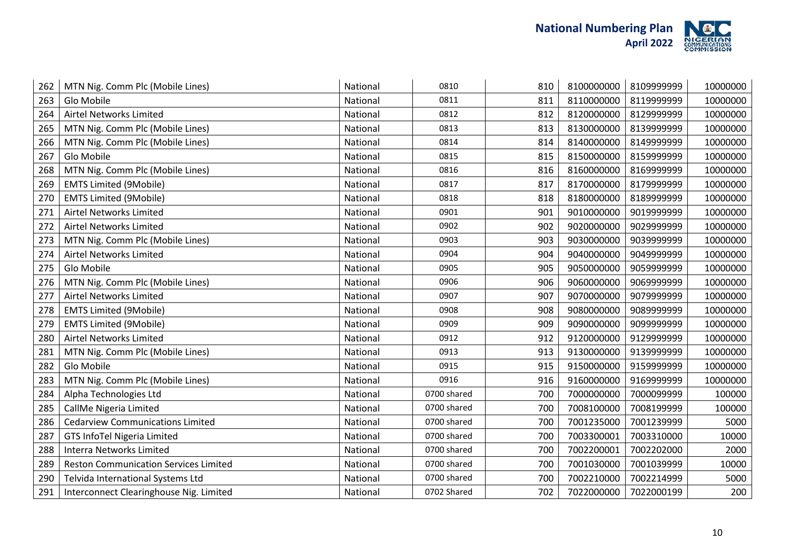

| 262 | MTN Nig. Comm Plc (Mobile Lines)             | National | 0810        | 810 | 8100000000 | 8109999999 | 10000000 |
|-----|----------------------------------------------|----------|-------------|-----|------------|------------|----------|
| 263 | Glo Mobile                                   | National | 0811        | 811 | 8110000000 | 8119999999 | 10000000 |
| 264 | Airtel Networks Limited                      | National | 0812        | 812 | 8120000000 | 8129999999 | 10000000 |
| 265 | MTN Nig. Comm Plc (Mobile Lines)             | National | 0813        | 813 | 8130000000 | 8139999999 | 10000000 |
| 266 | MTN Nig. Comm Plc (Mobile Lines)             | National | 0814        | 814 | 8140000000 | 8149999999 | 10000000 |
| 267 | Glo Mobile                                   | National | 0815        | 815 | 8150000000 | 8159999999 | 10000000 |
| 268 | MTN Nig. Comm Plc (Mobile Lines)             | National | 0816        | 816 | 8160000000 | 8169999999 | 10000000 |
| 269 | <b>EMTS Limited (9Mobile)</b>                | National | 0817        | 817 | 8170000000 | 8179999999 | 10000000 |
| 270 | <b>EMTS Limited (9Mobile)</b>                | National | 0818        | 818 | 8180000000 | 8189999999 | 10000000 |
| 271 | Airtel Networks Limited                      | National | 0901        | 901 | 9010000000 | 9019999999 | 10000000 |
| 272 | Airtel Networks Limited                      | National | 0902        | 902 | 9020000000 | 9029999999 | 10000000 |
| 273 | MTN Nig. Comm Plc (Mobile Lines)             | National | 0903        | 903 | 9030000000 | 9039999999 | 10000000 |
| 274 | Airtel Networks Limited                      | National | 0904        | 904 | 9040000000 | 9049999999 | 10000000 |
| 275 | Glo Mobile                                   | National | 0905        | 905 | 9050000000 | 9059999999 | 10000000 |
| 276 | MTN Nig. Comm Plc (Mobile Lines)             | National | 0906        | 906 | 9060000000 | 9069999999 | 10000000 |
| 277 | Airtel Networks Limited                      | National | 0907        | 907 | 9070000000 | 9079999999 | 10000000 |
| 278 | <b>EMTS Limited (9Mobile)</b>                | National | 0908        | 908 | 9080000000 | 9089999999 | 10000000 |
| 279 | <b>EMTS Limited (9Mobile)</b>                | National | 0909        | 909 | 9090000000 | 9099999999 | 10000000 |
| 280 | Airtel Networks Limited                      | National | 0912        | 912 | 9120000000 | 9129999999 | 10000000 |
| 281 | MTN Nig. Comm Plc (Mobile Lines)             | National | 0913        | 913 | 9130000000 | 9139999999 | 10000000 |
| 282 | Glo Mobile                                   | National | 0915        | 915 | 9150000000 | 9159999999 | 10000000 |
| 283 | MTN Nig. Comm Plc (Mobile Lines)             | National | 0916        | 916 | 9160000000 | 9169999999 | 10000000 |
| 284 | Alpha Technologies Ltd                       | National | 0700 shared | 700 | 7000000000 | 7000099999 | 100000   |
| 285 | CallMe Nigeria Limited                       | National | 0700 shared | 700 | 7008100000 | 7008199999 | 100000   |
| 286 | <b>Cedarview Communications Limited</b>      | National | 0700 shared | 700 | 7001235000 | 7001239999 | 5000     |
| 287 | <b>GTS InfoTel Nigeria Limited</b>           | National | 0700 shared | 700 | 7003300001 | 7003310000 | 10000    |
| 288 | <b>Interra Networks Limited</b>              | National | 0700 shared | 700 | 7002200001 | 7002202000 | 2000     |
| 289 | <b>Reston Communication Services Limited</b> | National | 0700 shared | 700 | 7001030000 | 7001039999 | 10000    |
| 290 | Telvida International Systems Ltd            | National | 0700 shared | 700 | 7002210000 | 7002214999 | 5000     |
| 291 | Interconnect Clearinghouse Nig. Limited      | National | 0702 Shared | 702 | 7022000000 | 7022000199 | 200      |